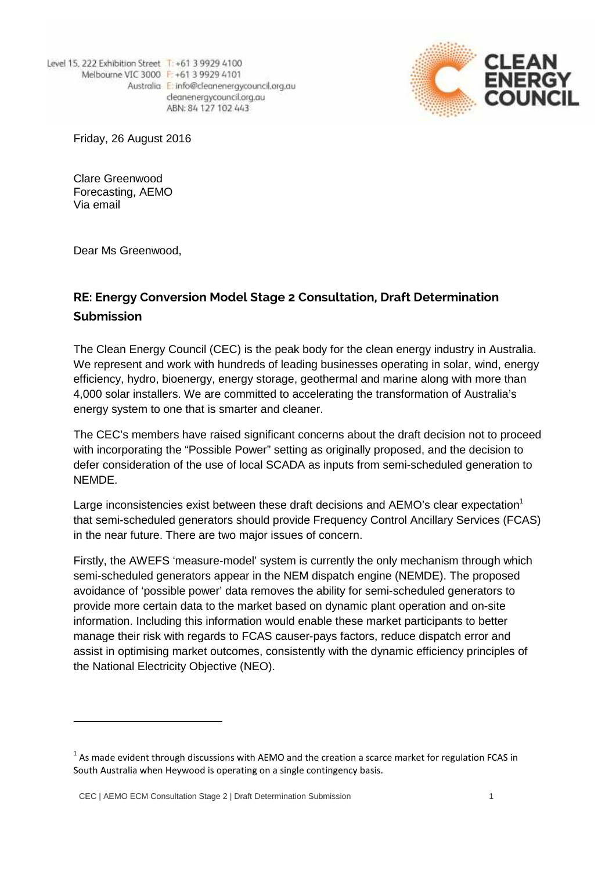Level 15, 222 Exhibition Street T: +61 3 9929 4100 Melbourne VIC 3000 F: +61 3 9929 4101 Australia E: info@cleanenergycouncil.org.au cleanenergycouncil.org.au ABN: 84 127 102 443



Friday, 26 August 2016

Clare Greenwood Forecasting, AEMO Via email

Dear Ms Greenwood,

## **RE: Energy Conversion Model Stage 2 Consultation, Draft Determination Submission**

The Clean Energy Council (CEC) is the peak body for the clean energy industry in Australia. We represent and work with hundreds of leading businesses operating in solar, wind, energy efficiency, hydro, bioenergy, energy storage, geothermal and marine along with more than 4,000 solar installers. We are committed to accelerating the transformation of Australia's energy system to one that is smarter and cleaner.

The CEC's members have raised significant concerns about the draft decision not to proceed with incorporating the "Possible Power" setting as originally proposed, and the decision to defer consideration of the use of local SCADA as inputs from semi-scheduled generation to NEMDE.

Large inconsistencies exist between these draft decisions and AEMO's clear expectation<sup>1</sup> that semi-scheduled generators should provide Frequency Control Ancillary Services (FCAS) in the near future. There are two major issues of concern.

Firstly, the AWEFS 'measure-model' system is currently the only mechanism through which semi-scheduled generators appear in the NEM dispatch engine (NEMDE). The proposed avoidance of 'possible power' data removes the ability for semi-scheduled generators to provide more certain data to the market based on dynamic plant operation and on-site information. Including this information would enable these market participants to better manage their risk with regards to FCAS causer-pays factors, reduce dispatch error and assist in optimising market outcomes, consistently with the dynamic efficiency principles of the National Electricity Objective (NEO).

 $1$  As made evident through discussions with AEMO and the creation a scarce market for regulation FCAS in South Australia when Heywood is operating on a single contingency basis.